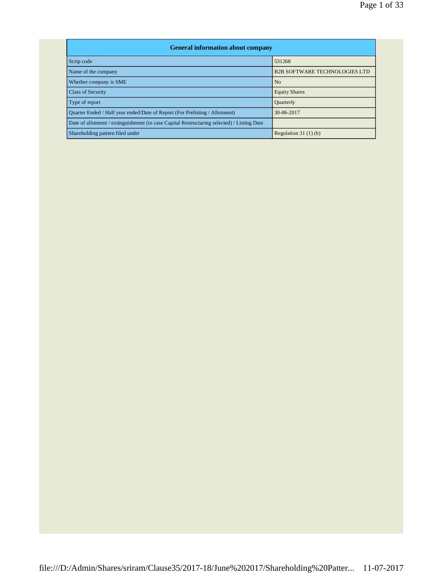| <b>General information about company</b>                                                   |                                      |  |  |  |  |  |  |  |
|--------------------------------------------------------------------------------------------|--------------------------------------|--|--|--|--|--|--|--|
| Scrip code                                                                                 | 531268                               |  |  |  |  |  |  |  |
| Name of the company                                                                        | <b>B2B SOFTWARE TECHNOLOGIES LTD</b> |  |  |  |  |  |  |  |
| Whether company is SME                                                                     | N <sub>o</sub>                       |  |  |  |  |  |  |  |
| <b>Class of Security</b>                                                                   | <b>Equity Shares</b>                 |  |  |  |  |  |  |  |
| Type of report                                                                             | <b>Quarterly</b>                     |  |  |  |  |  |  |  |
| Ouarter Ended / Half year ended/Date of Report (For Prelisting / Allotment)                | 30-06-2017                           |  |  |  |  |  |  |  |
| Date of allotment / extinguishment (in case Capital Restructuring selected) / Listing Date |                                      |  |  |  |  |  |  |  |
| Shareholding pattern filed under                                                           | Regulation $31(1)(b)$                |  |  |  |  |  |  |  |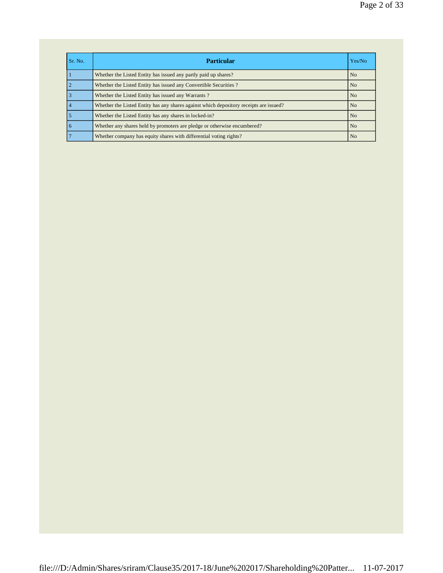| Sr. No. | <b>Particular</b>                                                                      | Yes/No         |
|---------|----------------------------------------------------------------------------------------|----------------|
|         | Whether the Listed Entity has issued any partly paid up shares?                        | N <sub>o</sub> |
|         | Whether the Listed Entity has issued any Convertible Securities?                       | N <sub>o</sub> |
|         | Whether the Listed Entity has issued any Warrants?                                     | No             |
|         | Whether the Listed Entity has any shares against which depository receipts are issued? | <b>No</b>      |
|         | Whether the Listed Entity has any shares in locked-in?                                 | N <sub>o</sub> |
| 6       | Whether any shares held by promoters are pledge or otherwise encumbered?               | No             |
|         | Whether company has equity shares with differential voting rights?                     | No             |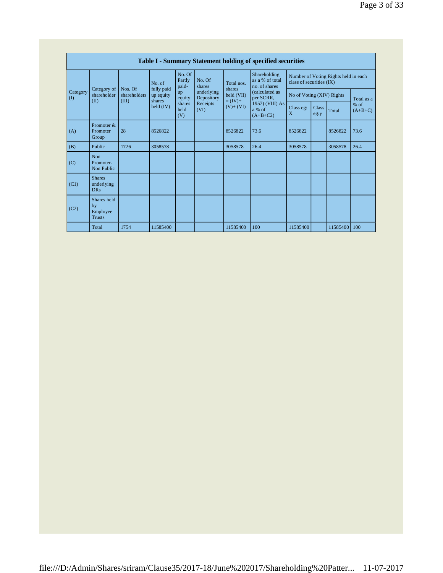|                          | Table I - Summary Statement holding of specified securities |                       |                                   |                           |                          |                                  |                                                  |                                                                  |                      |                |                                   |
|--------------------------|-------------------------------------------------------------|-----------------------|-----------------------------------|---------------------------|--------------------------|----------------------------------|--------------------------------------------------|------------------------------------------------------------------|----------------------|----------------|-----------------------------------|
|                          |                                                             | Nos. Of               | No. of                            | No. Of<br>Partly<br>paid- | No. Of<br>shares         | Total nos.                       | Shareholding<br>as a % of total<br>no. of shares | Number of Voting Rights held in each<br>class of securities (IX) |                      |                |                                   |
| Category<br>$($ $\Gamma$ | Category of<br>shareholder                                  | shareholders<br>(III) | fully paid<br>up equity<br>shares | up<br>equity              | underlying<br>Depository | shares<br>held (VII)<br>$=(IV)+$ | (calculated as<br>per SCRR,                      | No of Voting (XIV) Rights                                        |                      |                | Total as a<br>$%$ of<br>$(A+B+C)$ |
|                          | (II)                                                        |                       | $\text{held (IV)}$                | shares<br>held<br>(V)     | Receipts<br>(VI)         | $(V)+(VI)$                       | 1957) (VIII) As<br>a % of<br>$(A+B+C2)$          | Class eg:<br>X                                                   | <b>Class</b><br>eg:y | Total          |                                   |
| (A)                      | Promoter &<br>Promoter<br>Group                             | 28                    | 8526822                           |                           |                          | 8526822                          | 73.6                                             | 8526822                                                          |                      | 8526822        | 73.6                              |
| (B)                      | Public                                                      | 1726                  | 3058578                           |                           |                          | 3058578                          | 26.4                                             | 3058578                                                          |                      | 3058578        | 26.4                              |
| (C)                      | Non<br>Promoter-<br>Non Public                              |                       |                                   |                           |                          |                                  |                                                  |                                                                  |                      |                |                                   |
| (C1)                     | <b>Shares</b><br>underlying<br><b>DRs</b>                   |                       |                                   |                           |                          |                                  |                                                  |                                                                  |                      |                |                                   |
| (C2)                     | Shares held<br>by<br>Employee<br><b>Trusts</b>              |                       |                                   |                           |                          |                                  |                                                  |                                                                  |                      |                |                                   |
|                          | Total                                                       | 1754                  | 11585400                          |                           |                          | 11585400                         | 100                                              | 11585400                                                         |                      | 11585400   100 |                                   |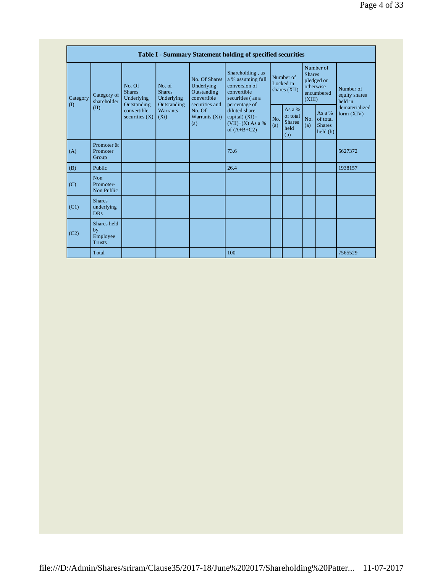|                          | Table I - Summary Statement holding of specified securities |                                                                                         |                                                                                    |                                                                                                               |                                                                                                                                                                                        |                                        |                                                      |                                                                               |                                                            |                                       |
|--------------------------|-------------------------------------------------------------|-----------------------------------------------------------------------------------------|------------------------------------------------------------------------------------|---------------------------------------------------------------------------------------------------------------|----------------------------------------------------------------------------------------------------------------------------------------------------------------------------------------|----------------------------------------|------------------------------------------------------|-------------------------------------------------------------------------------|------------------------------------------------------------|---------------------------------------|
| Category<br>$($ $\Gamma$ | Category of<br>shareholder<br>(II)                          | No. Of<br><b>Shares</b><br>Underlying<br>Outstanding<br>convertible<br>securities $(X)$ | No. of<br><b>Shares</b><br>Underlying<br>Outstanding<br><b>Warrants</b><br>$(X_i)$ | No. Of Shares<br>Underlying<br>Outstanding<br>convertible<br>securities and<br>No. Of<br>Warrants (Xi)<br>(a) | Shareholding, as<br>a % assuming full<br>conversion of<br>convertible<br>securities (as a<br>percentage of<br>diluted share<br>capital) $(XI)=$<br>$(VII)+(X)$ As a %<br>of $(A+B+C2)$ | Number of<br>Locked in<br>shares (XII) |                                                      | Number of<br><b>Shares</b><br>pledged or<br>otherwise<br>encumbered<br>(XIII) |                                                            | Number of<br>equity shares<br>held in |
|                          |                                                             |                                                                                         |                                                                                    |                                                                                                               |                                                                                                                                                                                        | N <sub>O</sub><br>(a)                  | As a $%$<br>of total<br><b>Shares</b><br>held<br>(b) | (a)                                                                           | As a %<br>No. $\vert$ of total<br><b>Shares</b><br>held(b) | dematerialized<br>form $(XIV)$        |
| (A)                      | Promoter &<br>Promoter<br>Group                             |                                                                                         |                                                                                    |                                                                                                               | 73.6                                                                                                                                                                                   |                                        |                                                      |                                                                               |                                                            | 5627372                               |
| (B)                      | Public                                                      |                                                                                         |                                                                                    |                                                                                                               | 26.4                                                                                                                                                                                   |                                        |                                                      |                                                                               |                                                            | 1938157                               |
| (C)                      | Non<br>Promoter-<br>Non Public                              |                                                                                         |                                                                                    |                                                                                                               |                                                                                                                                                                                        |                                        |                                                      |                                                                               |                                                            |                                       |
| (C1)                     | <b>Shares</b><br>underlying<br><b>DRs</b>                   |                                                                                         |                                                                                    |                                                                                                               |                                                                                                                                                                                        |                                        |                                                      |                                                                               |                                                            |                                       |
| (C2)                     | Shares held<br>by<br>Employee<br><b>Trusts</b>              |                                                                                         |                                                                                    |                                                                                                               |                                                                                                                                                                                        |                                        |                                                      |                                                                               |                                                            |                                       |
|                          | Total                                                       |                                                                                         |                                                                                    |                                                                                                               | 100                                                                                                                                                                                    |                                        |                                                      |                                                                               |                                                            | 7565529                               |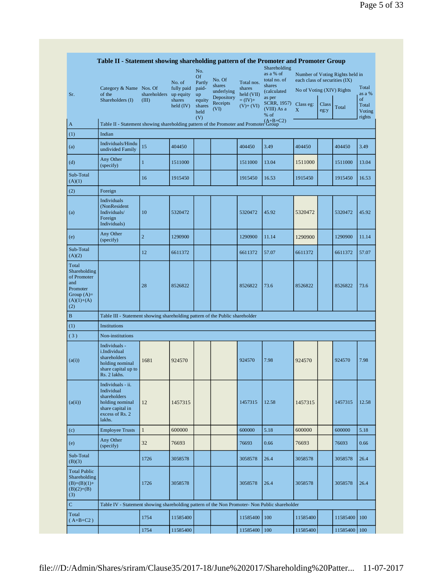|                                                                                                | Table II - Statement showing shareholding pattern of the Promoter and Promoter Group                                |                                                                                                  |                                    |                                       |                                              |                                      | Shareholding                                                 |                                                            |               |                                 |                                           |  |
|------------------------------------------------------------------------------------------------|---------------------------------------------------------------------------------------------------------------------|--------------------------------------------------------------------------------------------------|------------------------------------|---------------------------------------|----------------------------------------------|--------------------------------------|--------------------------------------------------------------|------------------------------------------------------------|---------------|---------------------------------|-------------------------------------------|--|
|                                                                                                | Category & Name Nos. Of                                                                                             |                                                                                                  | No. of<br>fully paid               | No.<br>Of<br>Partly<br>paid-          | No. Of<br>shares                             | Total nos.<br>shares                 | as a % of<br>total no. of<br>shares                          | each class of securities (IX)<br>No of Voting (XIV) Rights |               | Number of Voting Rights held in | Total                                     |  |
| Sr.                                                                                            | of the<br>Shareholders (I)                                                                                          | shareholders<br>(III)                                                                            | up equity<br>shares<br>$held$ (IV) | up<br>equity<br>shares<br>held<br>(V) | underlying<br>Depository<br>Receipts<br>(VI) | held (VII)<br>$=(IV)+$<br>$(V)+(VI)$ | (calculated)<br>as per<br>SCRR, 1957)<br>(VIII) As a<br>% of | Class eg:<br>X                                             | Class<br>eg:y | Total                           | as a %<br>of<br>Total<br>Voting<br>rights |  |
| A                                                                                              |                                                                                                                     | (A+B+C2)<br>Table II - Statement showing shareholding pattern of the Promoter and Promoter Group |                                    |                                       |                                              |                                      |                                                              |                                                            |               |                                 |                                           |  |
| (1)                                                                                            | Indian                                                                                                              |                                                                                                  |                                    |                                       |                                              |                                      |                                                              |                                                            |               |                                 |                                           |  |
| (a)                                                                                            | Individuals/Hindu<br>undivided Family                                                                               | 15                                                                                               | 404450                             |                                       |                                              | 404450                               | 3.49                                                         | 404450                                                     |               | 404450                          | 3.49                                      |  |
| (d)                                                                                            | Any Other<br>(specify)                                                                                              | $\mathbf{1}$                                                                                     | 1511000                            |                                       |                                              | 1511000                              | 13.04                                                        | 1511000                                                    |               | 1511000                         | 13.04                                     |  |
| Sub-Total<br>(A)(1)                                                                            |                                                                                                                     | 16                                                                                               | 1915450                            |                                       |                                              | 1915450                              | 16.53                                                        | 1915450                                                    |               | 1915450                         | 16.53                                     |  |
| (2)                                                                                            | Foreign                                                                                                             |                                                                                                  |                                    |                                       |                                              |                                      |                                                              |                                                            |               |                                 |                                           |  |
| (a)                                                                                            | Individuals<br>(NonResident<br>Individuals/<br>Foreign<br>Individuals)                                              | 10                                                                                               | 5320472                            |                                       |                                              | 5320472                              | 45.92                                                        | 5320472                                                    |               | 5320472                         | 45.92                                     |  |
| (e)                                                                                            | Any Other<br>(specify)                                                                                              | $\overline{c}$                                                                                   | 1290900                            |                                       |                                              | 1290900                              | 11.14                                                        | 1290900                                                    |               | 1290900                         | 11.14                                     |  |
| Sub-Total<br>(A)(2)                                                                            |                                                                                                                     | 12                                                                                               | 6611372                            |                                       |                                              | 6611372                              | 57.07                                                        | 6611372                                                    |               | 6611372                         | 57.07                                     |  |
| Total<br>Shareholding<br>of Promoter<br>and<br>Promoter<br>Group $(A)=$<br>$(A)(1)+(A)$<br>(2) |                                                                                                                     | 28                                                                                               | 8526822                            |                                       |                                              | 8526822                              | 73.6                                                         | 8526822                                                    |               | 8526822                         | 73.6                                      |  |
| B                                                                                              | Table III - Statement showing shareholding pattern of the Public shareholder                                        |                                                                                                  |                                    |                                       |                                              |                                      |                                                              |                                                            |               |                                 |                                           |  |
| (1)                                                                                            | Institutions                                                                                                        |                                                                                                  |                                    |                                       |                                              |                                      |                                                              |                                                            |               |                                 |                                           |  |
| (3)                                                                                            | Non-institutions                                                                                                    |                                                                                                  |                                    |                                       |                                              |                                      |                                                              |                                                            |               |                                 |                                           |  |
| (a(i))                                                                                         | Individuals -<br>i.Individual<br>shareholders<br>holding nominal<br>share capital up to<br>Rs. 2 lakhs.             | 1681                                                                                             | 924570                             |                                       |                                              | 924570                               | 7.98                                                         | 924570                                                     |               | 924570                          | 7.98                                      |  |
| (a(ii))                                                                                        | Individuals - ii.<br>Individual<br>shareholders<br>holding nominal<br>share capital in<br>excess of Rs. 2<br>lakhs. | 12                                                                                               | 1457315                            |                                       |                                              | 1457315                              | 12.58                                                        | 1457315                                                    |               | 1457315                         | 12.58                                     |  |
| (c)                                                                                            | <b>Employee Trusts</b>                                                                                              | $\mathbf{1}$                                                                                     | 600000                             |                                       |                                              | 600000                               | 5.18                                                         | 600000                                                     |               | 600000                          | 5.18                                      |  |
| (e)                                                                                            | Any Other<br>(specify)                                                                                              | 32                                                                                               | 76693                              |                                       |                                              | 76693                                | 0.66                                                         | 76693                                                      |               | 76693                           | 0.66                                      |  |
| Sub-Total<br>(B)(3)                                                                            |                                                                                                                     | 1726                                                                                             | 3058578                            |                                       |                                              | 3058578                              | 26.4                                                         | 3058578                                                    |               | 3058578                         | 26.4                                      |  |
| <b>Total Public</b><br>Shareholding<br>$(B)=(B)(1)+$<br>$(B)(2)+(B)$<br>(3)                    |                                                                                                                     | 1726                                                                                             | 3058578                            |                                       |                                              | 3058578                              | 26.4                                                         | 3058578                                                    |               | 3058578                         | 26.4                                      |  |
| $\mathbf C$                                                                                    | Table IV - Statement showing shareholding pattern of the Non Promoter- Non Public shareholder                       |                                                                                                  |                                    |                                       |                                              |                                      |                                                              |                                                            |               |                                 |                                           |  |
| Total<br>$(A+B+C2)$                                                                            |                                                                                                                     | 1754                                                                                             | 11585400                           |                                       |                                              | 11585400                             | 100                                                          | 11585400                                                   |               | 11585400                        | 100                                       |  |
|                                                                                                |                                                                                                                     | 1754                                                                                             | 11585400                           |                                       |                                              | 11585400                             | 100                                                          | 11585400                                                   |               | 11585400                        | 100                                       |  |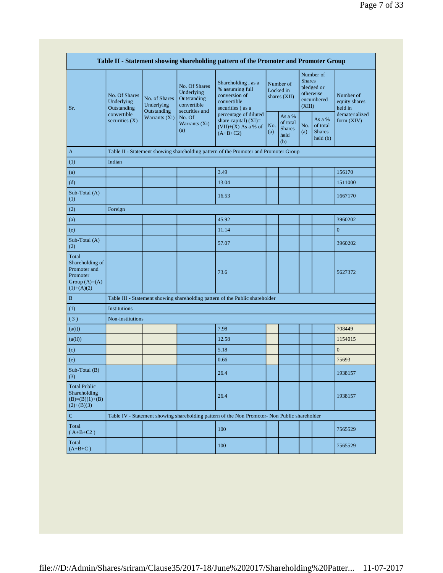|                                                                                         |                                            |                                                             |                                                                                                               | Table II - Statement showing shareholding pattern of the Promoter and Promoter Group                                                                                              |                                        |                                                    |                                                                               |                                                                |                                       |
|-----------------------------------------------------------------------------------------|--------------------------------------------|-------------------------------------------------------------|---------------------------------------------------------------------------------------------------------------|-----------------------------------------------------------------------------------------------------------------------------------------------------------------------------------|----------------------------------------|----------------------------------------------------|-------------------------------------------------------------------------------|----------------------------------------------------------------|---------------------------------------|
| Sr.                                                                                     | No. Of Shares<br>Underlying<br>Outstanding | No. of Shares<br>Underlying<br>Outstanding<br>Warrants (Xi) | No. Of Shares<br>Underlying<br>Outstanding<br>convertible<br>securities and<br>No. Of<br>Warrants (Xi)<br>(a) | Shareholding, as a<br>% assuming full<br>conversion of<br>convertible<br>securities (as a<br>percentage of diluted<br>share capital) (XI)=<br>$(VII)+(X)$ As a % of<br>$(A+B+C2)$ | Number of<br>Locked in<br>shares (XII) |                                                    | Number of<br><b>Shares</b><br>pledged or<br>otherwise<br>encumbered<br>(XIII) |                                                                | Number of<br>equity shares<br>held in |
|                                                                                         | convertible<br>securities $(X)$            |                                                             |                                                                                                               |                                                                                                                                                                                   | No.<br>(a)                             | As a %<br>of total<br><b>Shares</b><br>held<br>(b) | No.<br>(a)                                                                    | As a %<br>of total<br><b>Shares</b><br>$\text{held}(\text{b})$ | dematerialized<br>form (XIV)          |
| A                                                                                       |                                            |                                                             |                                                                                                               | Table II - Statement showing shareholding pattern of the Promoter and Promoter Group                                                                                              |                                        |                                                    |                                                                               |                                                                |                                       |
| (1)                                                                                     | Indian                                     |                                                             |                                                                                                               |                                                                                                                                                                                   |                                        |                                                    |                                                                               |                                                                |                                       |
| (a)                                                                                     |                                            |                                                             |                                                                                                               | 3.49                                                                                                                                                                              |                                        |                                                    |                                                                               |                                                                | 156170                                |
| (d)                                                                                     |                                            |                                                             |                                                                                                               | 13.04                                                                                                                                                                             |                                        |                                                    |                                                                               |                                                                | 1511000                               |
| Sub-Total (A)<br>(1)                                                                    |                                            |                                                             |                                                                                                               | 16.53                                                                                                                                                                             |                                        |                                                    |                                                                               |                                                                | 1667170                               |
| (2)                                                                                     | Foreign                                    |                                                             |                                                                                                               |                                                                                                                                                                                   |                                        |                                                    |                                                                               |                                                                |                                       |
| (a)                                                                                     |                                            |                                                             |                                                                                                               | 45.92                                                                                                                                                                             |                                        |                                                    |                                                                               |                                                                | 3960202                               |
| (e)                                                                                     |                                            |                                                             |                                                                                                               | 11.14                                                                                                                                                                             |                                        |                                                    |                                                                               |                                                                | $\mathbf{0}$                          |
| Sub-Total (A)<br>(2)                                                                    |                                            |                                                             |                                                                                                               | 57.07                                                                                                                                                                             |                                        |                                                    |                                                                               |                                                                | 3960202                               |
| Total<br>Shareholding of<br>Promoter and<br>Promoter<br>Group $(A)=(A)$<br>$(1)+(A)(2)$ |                                            |                                                             |                                                                                                               | 73.6                                                                                                                                                                              |                                        |                                                    |                                                                               |                                                                | 5627372                               |
| B                                                                                       |                                            |                                                             |                                                                                                               | Table III - Statement showing shareholding pattern of the Public shareholder                                                                                                      |                                        |                                                    |                                                                               |                                                                |                                       |
| (1)                                                                                     | <b>Institutions</b>                        |                                                             |                                                                                                               |                                                                                                                                                                                   |                                        |                                                    |                                                                               |                                                                |                                       |
| (3)                                                                                     | Non-institutions                           |                                                             |                                                                                                               |                                                                                                                                                                                   |                                        |                                                    |                                                                               |                                                                |                                       |
| (a(i))                                                                                  |                                            |                                                             |                                                                                                               | 7.98                                                                                                                                                                              |                                        |                                                    |                                                                               |                                                                | 708449                                |
| (a(ii))                                                                                 |                                            |                                                             |                                                                                                               | 12.58                                                                                                                                                                             |                                        |                                                    |                                                                               |                                                                | 1154015                               |
| (c)                                                                                     |                                            |                                                             |                                                                                                               | 5.18                                                                                                                                                                              |                                        |                                                    |                                                                               |                                                                | $\overline{0}$                        |
| (e)                                                                                     |                                            |                                                             |                                                                                                               | 0.66                                                                                                                                                                              |                                        |                                                    |                                                                               |                                                                | 75693                                 |
| $Sub-Total(B)$<br>(3)                                                                   |                                            |                                                             |                                                                                                               | 26.4                                                                                                                                                                              |                                        |                                                    |                                                                               |                                                                | 1938157                               |
| <b>Total Public</b><br>Shareholding<br>$(B)=(B)(1)+(B)$<br>$(2)+(B)(3)$                 |                                            |                                                             |                                                                                                               | 26.4                                                                                                                                                                              |                                        |                                                    |                                                                               |                                                                | 1938157                               |
| $\mathbf C$                                                                             |                                            |                                                             |                                                                                                               | Table IV - Statement showing shareholding pattern of the Non Promoter- Non Public shareholder                                                                                     |                                        |                                                    |                                                                               |                                                                |                                       |
| Total<br>$(A+B+C2)$                                                                     |                                            |                                                             |                                                                                                               | 100                                                                                                                                                                               |                                        |                                                    |                                                                               |                                                                | 7565529                               |
| Total<br>$(A+B+C)$                                                                      |                                            |                                                             |                                                                                                               | 100                                                                                                                                                                               |                                        |                                                    |                                                                               |                                                                | 7565529                               |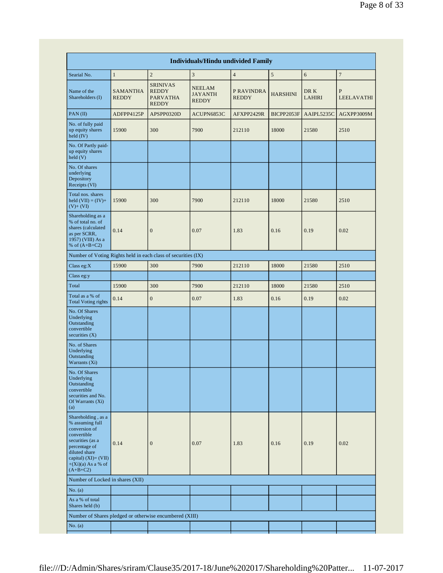|                                                                                                                                                                                              |                                 |                                                                    | <b>Individuals/Hindu undivided Family</b>       |                            |                 |                       |                        |  |
|----------------------------------------------------------------------------------------------------------------------------------------------------------------------------------------------|---------------------------------|--------------------------------------------------------------------|-------------------------------------------------|----------------------------|-----------------|-----------------------|------------------------|--|
| Searial No.                                                                                                                                                                                  | $\mathbf{1}$                    | $\overline{c}$                                                     | $\overline{3}$                                  | $\overline{4}$             | $\sqrt{5}$      | 6                     | $\boldsymbol{7}$       |  |
| Name of the<br>Shareholders (I)                                                                                                                                                              | <b>SAMANTHA</b><br><b>REDDY</b> | <b>SRINIVAS</b><br><b>REDDY</b><br><b>PARVATHA</b><br><b>REDDY</b> | <b>NEELAM</b><br><b>JAYANTH</b><br><b>REDDY</b> | P RAVINDRA<br><b>REDDY</b> | <b>HARSHINI</b> | DR K<br><b>LAHIRI</b> | P<br><b>LEELAVATHI</b> |  |
| PAN(II)                                                                                                                                                                                      | ADFPP4125P                      | APSPP0320D                                                         | ACUPN6853C                                      | AFXPP2429R                 | BICPP2053F      | AAIPL5235C            | AGXPP3009M             |  |
| No. of fully paid<br>up equity shares<br>held (IV)                                                                                                                                           | 15900                           | 300                                                                | 7900                                            | 212110                     | 18000           | 21580                 | 2510                   |  |
| No. Of Partly paid-<br>up equity shares<br>held(V)                                                                                                                                           |                                 |                                                                    |                                                 |                            |                 |                       |                        |  |
| No. Of shares<br>underlying<br>Depository<br>Receipts (VI)                                                                                                                                   |                                 |                                                                    |                                                 |                            |                 |                       |                        |  |
| Total nos, shares<br>held $(VII) = (IV) +$<br>$(V)$ + $(VI)$                                                                                                                                 | 15900                           | 300                                                                | 7900                                            | 212110                     | 18000           | 21580                 | 2510                   |  |
| Shareholding as a<br>% of total no. of<br>shares (calculated<br>as per SCRR,<br>1957) (VIII) As a<br>% of $(A+B+C2)$                                                                         | 0.14                            | $\mathbf{0}$                                                       | 0.07                                            | 1.83                       | 0.16            | 0.19                  | 0.02                   |  |
| Number of Voting Rights held in each class of securities (IX)                                                                                                                                |                                 |                                                                    |                                                 |                            |                 |                       |                        |  |
| Class eg: $X$                                                                                                                                                                                | 15900                           | 300                                                                | 7900                                            | 212110                     | 18000           | 21580                 | 2510                   |  |
| Class eg:y                                                                                                                                                                                   |                                 |                                                                    |                                                 |                            |                 |                       |                        |  |
| Total                                                                                                                                                                                        | 15900                           | 300                                                                | 7900                                            | 212110                     | 18000           | 21580                 | 2510                   |  |
| Total as a % of<br><b>Total Voting rights</b>                                                                                                                                                | 0.14                            | $\boldsymbol{0}$                                                   | 0.07                                            | 1.83                       | 0.16            | 0.19                  | 0.02                   |  |
| No. Of Shares<br>Underlying<br>Outstanding<br>convertible<br>securities $(X)$                                                                                                                |                                 |                                                                    |                                                 |                            |                 |                       |                        |  |
| No. of Shares<br>Underlying<br>Outstanding<br>Warrants (Xi)                                                                                                                                  |                                 |                                                                    |                                                 |                            |                 |                       |                        |  |
| No. Of Shares<br>Underlying<br>Outstanding<br>convertible<br>securities and No.<br>Of Warrants (Xi)<br>(a)                                                                                   |                                 |                                                                    |                                                 |                            |                 |                       |                        |  |
| Shareholding, as a<br>% assuming full<br>conversion of<br>convertible<br>securities (as a<br>percentage of<br>diluted share<br>capital) $(XI) = (VII)$<br>$+(Xi)(a)$ As a % of<br>$(A+B+C2)$ | 0.14                            | $\mathbf{0}$                                                       | 0.07                                            | 1.83                       | 0.16            | 0.19                  | 0.02                   |  |
| Number of Locked in shares (XII)                                                                                                                                                             |                                 |                                                                    |                                                 |                            |                 |                       |                        |  |
| No. (a)                                                                                                                                                                                      |                                 |                                                                    |                                                 |                            |                 |                       |                        |  |
| As a % of total<br>Shares held (b)                                                                                                                                                           |                                 |                                                                    |                                                 |                            |                 |                       |                        |  |
|                                                                                                                                                                                              |                                 | Number of Shares pledged or otherwise encumbered (XIII)            |                                                 |                            |                 |                       |                        |  |
| No. (a)                                                                                                                                                                                      |                                 |                                                                    |                                                 |                            |                 |                       |                        |  |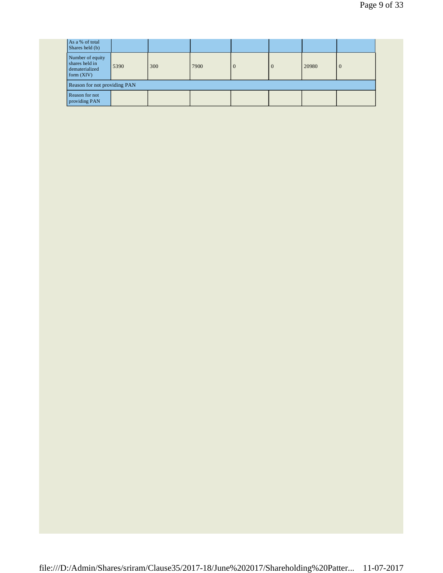| As a % of total<br>Shares held (b)                                   |                              |     |      |          |        |       |   |  |  |
|----------------------------------------------------------------------|------------------------------|-----|------|----------|--------|-------|---|--|--|
| Number of equity<br>shares held in<br>dematerialized<br>form $(XIV)$ | 5390                         | 300 | 7900 | $\theta$ | $\cup$ | 20980 | O |  |  |
|                                                                      | Reason for not providing PAN |     |      |          |        |       |   |  |  |
| Reason for not<br>providing PAN                                      |                              |     |      |          |        |       |   |  |  |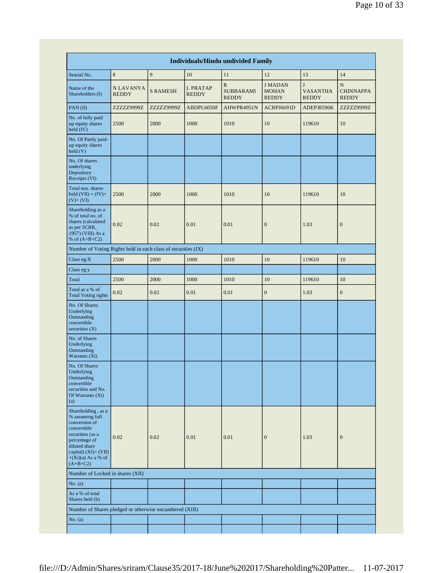|                                                                                                                                                                                              |                           |                 |                                 | <b>Individuals/Hindu undivided Family</b>        |                                               |                                      |                                       |
|----------------------------------------------------------------------------------------------------------------------------------------------------------------------------------------------|---------------------------|-----------------|---------------------------------|--------------------------------------------------|-----------------------------------------------|--------------------------------------|---------------------------------------|
| Searial No.                                                                                                                                                                                  | 8                         | 9               | $10\,$                          | 11                                               | 12                                            | 13                                   | 14                                    |
| Name of the<br>Shareholders (I)                                                                                                                                                              | N LAVANYA<br><b>REDDY</b> | <b>S RAMESH</b> | <b>L PRATAP</b><br><b>REDDY</b> | $\mathbb{R}$<br><b>SUBBARAMI</b><br><b>REDDY</b> | <b>JMADAN</b><br><b>MOHAN</b><br><b>REDDY</b> | J<br><b>VASANTHA</b><br><b>REDDY</b> | N<br><b>CHINNAPPA</b><br><b>REDDY</b> |
| PAN(II)                                                                                                                                                                                      | ZZZZZ9999Z                | ZZZZZ9999Z      | ABDPL6050F                      | AHWPR4951N                                       | ACRPJ6691D                                    | ADEPJ8596K                           | ZZZZZ9999Z                            |
| No. of fully paid<br>up equity shares<br>held (IV)                                                                                                                                           | 2500                      | 2000            | 1000                            | 1010                                             | 10                                            | 119610                               | 10                                    |
| No. Of Partly paid-<br>up equity shares<br>held(V)                                                                                                                                           |                           |                 |                                 |                                                  |                                               |                                      |                                       |
| No. Of shares<br>underlying<br>Depository<br>Receipts (VI)                                                                                                                                   |                           |                 |                                 |                                                  |                                               |                                      |                                       |
| Total nos. shares<br>held $(VII) = (IV) +$<br>$(V)+ (VI)$                                                                                                                                    | 2500                      | 2000            | 1000                            | 1010                                             | 10                                            | 119610                               | 10                                    |
| Shareholding as a<br>% of total no. of<br>shares (calculated<br>as per SCRR,<br>1957) (VIII) As a<br>% of $(A+B+C2)$                                                                         | 0.02                      | 0.02            | 0.01                            | 0.01                                             | $\boldsymbol{0}$                              | 1.03                                 | $\boldsymbol{0}$                      |
| Number of Voting Rights held in each class of securities (IX)                                                                                                                                |                           |                 |                                 |                                                  |                                               |                                      |                                       |
| Class eg: $X$                                                                                                                                                                                | 2500                      | 2000            | 1000                            | 1010                                             | 10                                            | 119610                               | 10                                    |
| Class eg:y                                                                                                                                                                                   |                           |                 |                                 |                                                  |                                               |                                      |                                       |
| Total                                                                                                                                                                                        | 2500                      | 2000            | 1000                            | 1010                                             | 10                                            | 119610                               | 10                                    |
| Total as a % of<br><b>Total Voting rights</b>                                                                                                                                                | 0.02                      | 0.02            | 0.01                            | 0.01                                             | $\boldsymbol{0}$                              | 1.03                                 | $\boldsymbol{0}$                      |
| No. Of Shares<br>Underlying<br>Outstanding<br>convertible<br>securities $(X)$                                                                                                                |                           |                 |                                 |                                                  |                                               |                                      |                                       |
| No. of Shares<br>Underlying<br>Outstanding<br>Warrants (Xi)                                                                                                                                  |                           |                 |                                 |                                                  |                                               |                                      |                                       |
| No. Of Shares<br>Underlying<br>Outstanding<br>convertible<br>securities and No.<br>Of Warrants (Xi)<br>(a)                                                                                   |                           |                 |                                 |                                                  |                                               |                                      |                                       |
| Shareholding, as a<br>% assuming full<br>conversion of<br>convertible<br>securities (as a<br>percentage of<br>diluted share<br>capital) $(XI) = (VII)$<br>$+(Xi)(a)$ As a % of<br>$(A+B+C2)$ | 0.02                      | 0.02            | 0.01                            | 0.01                                             | $\mathbf{0}$                                  | 1.03                                 | $\boldsymbol{0}$                      |
| Number of Locked in shares (XII)                                                                                                                                                             |                           |                 |                                 |                                                  |                                               |                                      |                                       |
| No. (a)                                                                                                                                                                                      |                           |                 |                                 |                                                  |                                               |                                      |                                       |
| As a % of total<br>Shares held (b)                                                                                                                                                           |                           |                 |                                 |                                                  |                                               |                                      |                                       |
| Number of Shares pledged or otherwise encumbered (XIII)                                                                                                                                      |                           |                 |                                 |                                                  |                                               |                                      |                                       |
| No. (a)                                                                                                                                                                                      |                           |                 |                                 |                                                  |                                               |                                      |                                       |
|                                                                                                                                                                                              |                           |                 |                                 |                                                  |                                               |                                      |                                       |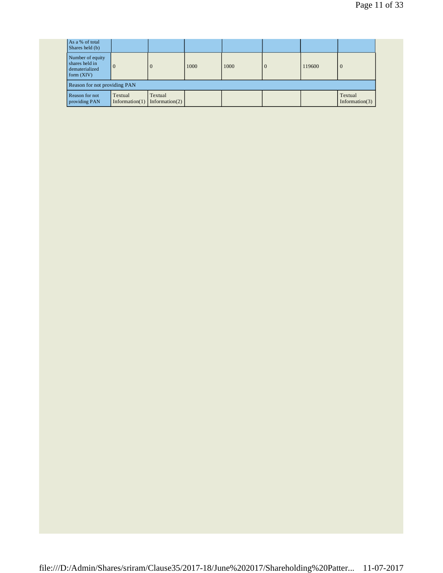| As a % of total<br>Shares held (b)                                   |                              |                              |      |      |  |        |                              |  |
|----------------------------------------------------------------------|------------------------------|------------------------------|------|------|--|--------|------------------------------|--|
| Number of equity<br>shares held in<br>dematerialized<br>form $(XIV)$ | $\overline{0}$               | $\theta$                     | 1000 | 1000 |  | 119600 | $\overline{0}$               |  |
| Reason for not providing PAN                                         |                              |                              |      |      |  |        |                              |  |
| Reason for not<br>providing PAN                                      | Textual<br>Information $(1)$ | Textual<br>Information $(2)$ |      |      |  |        | Textual<br>Information $(3)$ |  |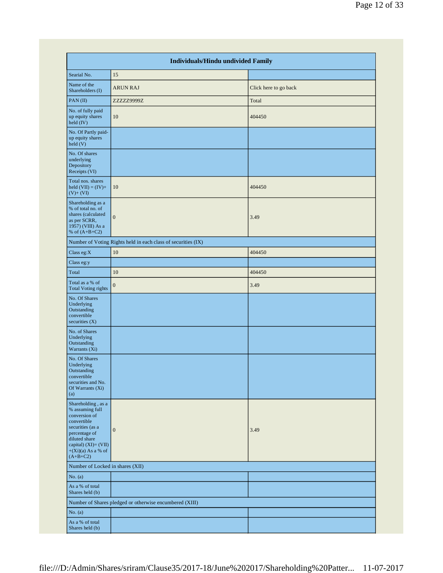|                                                                                                                                                                                              | Individuals/Hindu undivided Family                            |                       |
|----------------------------------------------------------------------------------------------------------------------------------------------------------------------------------------------|---------------------------------------------------------------|-----------------------|
|                                                                                                                                                                                              |                                                               |                       |
| Searial No.                                                                                                                                                                                  | 15                                                            |                       |
| Name of the<br>Shareholders (I)                                                                                                                                                              | <b>ARUN RAJ</b>                                               | Click here to go back |
| PAN(II)                                                                                                                                                                                      | ZZZZZ9999Z                                                    | Total                 |
| No. of fully paid<br>up equity shares<br>held (IV)                                                                                                                                           | 10                                                            | 404450                |
| No. Of Partly paid-<br>up equity shares<br>held(V)                                                                                                                                           |                                                               |                       |
| No. Of shares<br>underlying<br>Depository<br>Receipts (VI)                                                                                                                                   |                                                               |                       |
| Total nos. shares<br>held $(VII) = (IV) +$<br>$(V)+ (VI)$                                                                                                                                    | 10                                                            | 404450                |
| Shareholding as a<br>% of total no. of<br>shares (calculated<br>as per SCRR,<br>1957) (VIII) As a<br>% of $(A+B+C2)$                                                                         | $\mathbf{0}$                                                  | 3.49                  |
|                                                                                                                                                                                              | Number of Voting Rights held in each class of securities (IX) |                       |
| Class eg:X                                                                                                                                                                                   | 10                                                            | 404450                |
| Class eg:y                                                                                                                                                                                   |                                                               |                       |
| Total                                                                                                                                                                                        | 10                                                            | 404450                |
| Total as a % of<br><b>Total Voting rights</b>                                                                                                                                                | $\overline{0}$                                                | 3.49                  |
| No. Of Shares<br>Underlying<br>Outstanding<br>convertible<br>securities $(X)$                                                                                                                |                                                               |                       |
| No. of Shares<br>Underlying<br>Outstanding<br>Warrants (Xi)                                                                                                                                  |                                                               |                       |
| No. Of Shares<br>Underlying<br>Outstanding<br>convertible<br>securities and No.<br>Of Warrants (Xi)<br>(a)                                                                                   |                                                               |                       |
| Shareholding, as a<br>% assuming full<br>conversion of<br>convertible<br>securities (as a<br>percentage of<br>diluted share<br>capital) $(XI) = (VII)$<br>$+(Xi)(a)$ As a % of<br>$(A+B+C2)$ | $\boldsymbol{0}$                                              | 3.49                  |
| Number of Locked in shares (XII)                                                                                                                                                             |                                                               |                       |
| No. $(a)$                                                                                                                                                                                    |                                                               |                       |
| As a % of total<br>Shares held (b)                                                                                                                                                           |                                                               |                       |
|                                                                                                                                                                                              | Number of Shares pledged or otherwise encumbered (XIII)       |                       |
| No. $(a)$                                                                                                                                                                                    |                                                               |                       |
| As a % of total<br>Shares held (b)                                                                                                                                                           |                                                               |                       |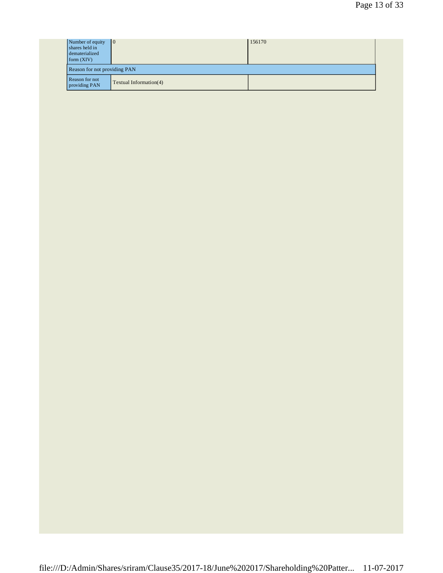| Number of equity<br>shares held in<br>dematerialized<br>form $(XIV)$ | $\overline{10}$                     | 156170 |  |  |  |
|----------------------------------------------------------------------|-------------------------------------|--------|--|--|--|
|                                                                      | <b>Reason for not providing PAN</b> |        |  |  |  |
| Reason for not<br>providing PAN                                      | Textual Information(4)              |        |  |  |  |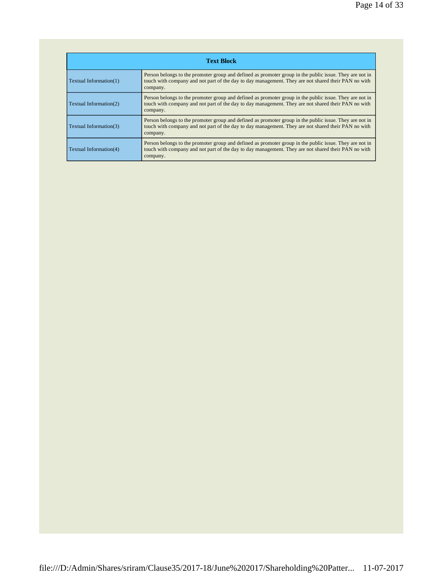| <b>Text Block</b>      |                                                                                                                                                                                                                            |  |  |  |
|------------------------|----------------------------------------------------------------------------------------------------------------------------------------------------------------------------------------------------------------------------|--|--|--|
| Textual Information(1) | Person belongs to the promoter group and defined as promoter group in the public issue. They are not in<br>touch with company and not part of the day to day management. They are not shared their PAN no with<br>company. |  |  |  |
| Textual Information(2) | Person belongs to the promoter group and defined as promoter group in the public issue. They are not in<br>touch with company and not part of the day to day management. They are not shared their PAN no with<br>company. |  |  |  |
| Textual Information(3) | Person belongs to the promoter group and defined as promoter group in the public issue. They are not in<br>touch with company and not part of the day to day management. They are not shared their PAN no with<br>company. |  |  |  |
| Textual Information(4) | Person belongs to the promoter group and defined as promoter group in the public issue. They are not in<br>touch with company and not part of the day to day management. They are not shared their PAN no with<br>company. |  |  |  |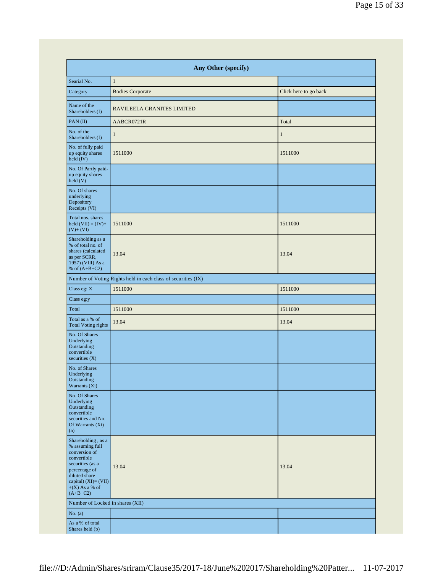| Any Other (specify)                                                                                                                                                                   |                                                               |                       |  |  |
|---------------------------------------------------------------------------------------------------------------------------------------------------------------------------------------|---------------------------------------------------------------|-----------------------|--|--|
| Searial No.                                                                                                                                                                           | $\mathbf{1}$                                                  |                       |  |  |
| Category                                                                                                                                                                              | <b>Bodies Corporate</b>                                       | Click here to go back |  |  |
| Name of the<br>Shareholders (I)                                                                                                                                                       | RAVILEELA GRANITES LIMITED                                    |                       |  |  |
| PAN(II)                                                                                                                                                                               | AABCR0721R                                                    | Total                 |  |  |
| No. of the<br>Shareholders (I)                                                                                                                                                        | $\mathbf{1}$                                                  | $\mathbf{1}$          |  |  |
| No. of fully paid<br>up equity shares<br>held (IV)                                                                                                                                    | 1511000                                                       | 1511000               |  |  |
| No. Of Partly paid-<br>up equity shares<br>held(V)                                                                                                                                    |                                                               |                       |  |  |
| No. Of shares<br>underlying<br>Depository<br>Receipts (VI)                                                                                                                            |                                                               |                       |  |  |
| Total nos. shares<br>held $(VII) = (IV) +$<br>$(V)$ + $(VI)$                                                                                                                          | 1511000                                                       | 1511000               |  |  |
| Shareholding as a<br>% of total no. of<br>shares (calculated<br>as per SCRR,<br>1957) (VIII) As a<br>% of $(A+B+C2)$                                                                  | 13.04                                                         | 13.04                 |  |  |
|                                                                                                                                                                                       | Number of Voting Rights held in each class of securities (IX) |                       |  |  |
| Class eg: $\mathbf{X}$                                                                                                                                                                | 1511000                                                       | 1511000               |  |  |
| Class eg:y                                                                                                                                                                            |                                                               |                       |  |  |
| Total                                                                                                                                                                                 | 1511000                                                       | 1511000               |  |  |
| Total as a % of<br><b>Total Voting rights</b>                                                                                                                                         | 13.04                                                         | 13.04                 |  |  |
| No. Of Shares<br>Underlying<br>Outstanding<br>convertible<br>securities $(X)$                                                                                                         |                                                               |                       |  |  |
| No. of Shares<br>Underlying<br>Outstanding<br>Warrants (Xi)                                                                                                                           |                                                               |                       |  |  |
| No. Of Shares<br>Underlying<br>Outstanding<br>convertible<br>securities and No.<br>Of Warrants (Xi)<br>(a)                                                                            |                                                               |                       |  |  |
| Shareholding, as a<br>% assuming full<br>conversion of<br>convertible<br>securities (as a<br>percentage of<br>diluted share<br>capital) (XI)= (VII)<br>$+(X)$ As a % of<br>$(A+B+C2)$ | 13.04                                                         | 13.04                 |  |  |
| Number of Locked in shares (XII)                                                                                                                                                      |                                                               |                       |  |  |
| No. $(a)$                                                                                                                                                                             |                                                               |                       |  |  |
| As a % of total<br>Shares held (b)                                                                                                                                                    |                                                               |                       |  |  |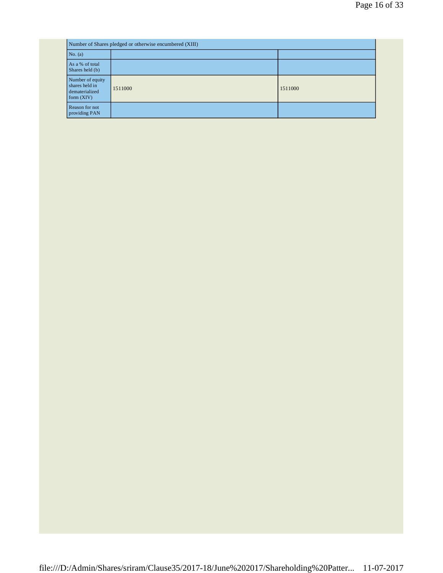|                                                                      | Number of Shares pledged or otherwise encumbered (XIII) |         |  |  |
|----------------------------------------------------------------------|---------------------------------------------------------|---------|--|--|
| No. (a)                                                              |                                                         |         |  |  |
| As a % of total<br>Shares held (b)                                   |                                                         |         |  |  |
| Number of equity<br>shares held in<br>dematerialized<br>form $(XIV)$ | 1511000                                                 | 1511000 |  |  |
| Reason for not<br>providing PAN                                      |                                                         |         |  |  |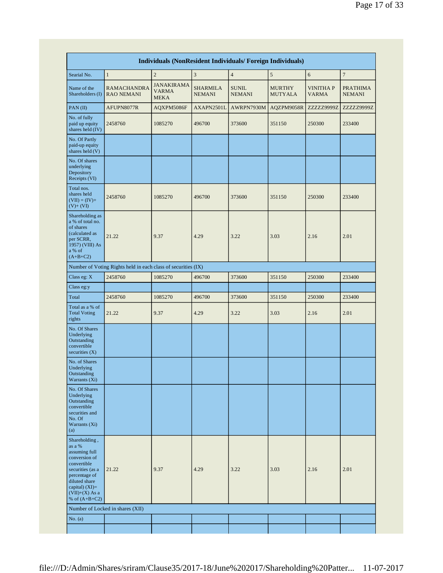| Individuals (NonResident Individuals/ Foreign Individuals)                                                                                                                                |                                                               |                                                  |                                  |                               |                                 |                                  |                                  |
|-------------------------------------------------------------------------------------------------------------------------------------------------------------------------------------------|---------------------------------------------------------------|--------------------------------------------------|----------------------------------|-------------------------------|---------------------------------|----------------------------------|----------------------------------|
| Searial No.                                                                                                                                                                               | $\mathbf{1}$                                                  | $\overline{c}$                                   | 3                                | $\overline{4}$                | 5                               | 6                                | $\overline{7}$                   |
| Name of the<br>Shareholders (I)                                                                                                                                                           | <b>RAMACHANDRA</b><br><b>RAO NEMANI</b>                       | <b>JANAKIRAMA</b><br><b>VARMA</b><br><b>MEKA</b> | <b>SHARMILA</b><br><b>NEMANI</b> | <b>SUNIL</b><br><b>NEMANI</b> | <b>MURTHY</b><br><b>MUTYALA</b> | <b>VINITHA P</b><br><b>VARMA</b> | <b>PRATHIMA</b><br><b>NEMANI</b> |
| PAN(II)                                                                                                                                                                                   | AFUPN8077R                                                    | AQXPM5086F                                       | AXAPN2501L                       | AWRPN7930M                    | AQZPM9058R                      | ZZZZZ9999Z                       | ZZZZZ9999Z                       |
| No. of fully<br>paid up equity<br>shares held (IV)                                                                                                                                        | 2458760                                                       | 1085270                                          | 496700                           | 373600                        | 351150                          | 250300                           | 233400                           |
| No. Of Partly<br>paid-up equity<br>shares held (V)                                                                                                                                        |                                                               |                                                  |                                  |                               |                                 |                                  |                                  |
| No. Of shares<br>underlying<br>Depository<br>Receipts (VI)                                                                                                                                |                                                               |                                                  |                                  |                               |                                 |                                  |                                  |
| Total nos.<br>shares held<br>$(VII) = (IV) +$<br>$(V)$ + $(VI)$                                                                                                                           | 2458760                                                       | 1085270                                          | 496700                           | 373600                        | 351150                          | 250300                           | 233400                           |
| Shareholding as<br>a % of total no.<br>of shares<br>(calculated as<br>per SCRR,<br>1957) (VIII) As<br>a % of<br>$(A+B+C2)$                                                                | 21.22                                                         | 9.37                                             | 4.29                             | 3.22                          | 3.03                            | 2.16                             | 2.01                             |
|                                                                                                                                                                                           | Number of Voting Rights held in each class of securities (IX) |                                                  |                                  |                               |                                 |                                  |                                  |
| Class eg: $X$                                                                                                                                                                             | 2458760                                                       | 1085270                                          | 496700                           | 373600                        | 351150                          | 250300                           | 233400                           |
| Class eg:y                                                                                                                                                                                |                                                               |                                                  |                                  |                               |                                 |                                  |                                  |
| Total                                                                                                                                                                                     | 2458760                                                       | 1085270                                          | 496700                           | 373600                        | 351150                          | 250300                           | 233400                           |
| Total as a % of<br><b>Total Voting</b><br>rights                                                                                                                                          | 21.22                                                         | 9.37                                             | 4.29                             | 3.22                          | 3.03                            | 2.16                             | 2.01                             |
| No. Of Shares<br>Underlying<br>Outstanding<br>convertible<br>securities (X)                                                                                                               |                                                               |                                                  |                                  |                               |                                 |                                  |                                  |
| No. of Shares<br>Underlying<br>Outstanding<br>Warrants (Xi)                                                                                                                               |                                                               |                                                  |                                  |                               |                                 |                                  |                                  |
| No. Of Shares<br>Underlying<br>Outstanding<br>convertible<br>securities and<br>No. Of<br>Warrants (Xi)<br>(a)                                                                             |                                                               |                                                  |                                  |                               |                                 |                                  |                                  |
| Shareholding,<br>as a %<br>assuming full<br>conversion of<br>convertible<br>securities (as a<br>percentage of<br>diluted share<br>capital) $(XI)=$<br>$(VII)+(X)$ As a<br>% of $(A+B+C2)$ | 21.22                                                         | 9.37                                             | 4.29                             | 3.22                          | 3.03                            | 2.16                             | 2.01                             |
|                                                                                                                                                                                           | Number of Locked in shares (XII)                              |                                                  |                                  |                               |                                 |                                  |                                  |
| No. (a)                                                                                                                                                                                   |                                                               |                                                  |                                  |                               |                                 |                                  |                                  |
|                                                                                                                                                                                           |                                                               |                                                  |                                  |                               |                                 |                                  |                                  |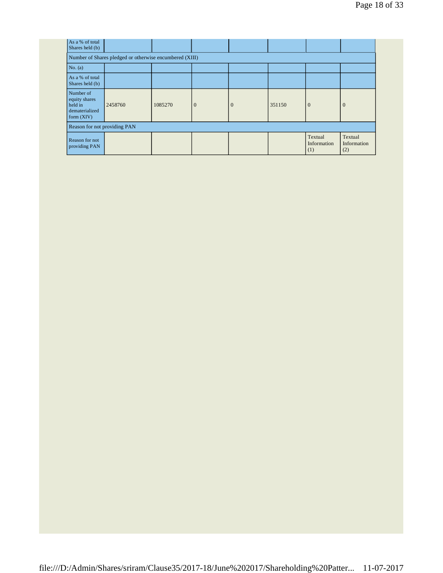| As a % of total<br>Shares held (b)                                      |                                                         |         |              |          |        |                               |                               |
|-------------------------------------------------------------------------|---------------------------------------------------------|---------|--------------|----------|--------|-------------------------------|-------------------------------|
|                                                                         | Number of Shares pledged or otherwise encumbered (XIII) |         |              |          |        |                               |                               |
| No. $(a)$                                                               |                                                         |         |              |          |        |                               |                               |
| As a % of total<br>Shares held (b)                                      |                                                         |         |              |          |        |                               |                               |
| Number of<br>equity shares<br>held in<br>dematerialized<br>form $(XIV)$ | 2458760                                                 | 1085270 | $\mathbf{0}$ | $\theta$ | 351150 | $\theta$                      | $\mathbf{0}$                  |
|                                                                         | Reason for not providing PAN                            |         |              |          |        |                               |                               |
| Reason for not<br>providing PAN                                         |                                                         |         |              |          |        | Textual<br>Information<br>(1) | Textual<br>Information<br>(2) |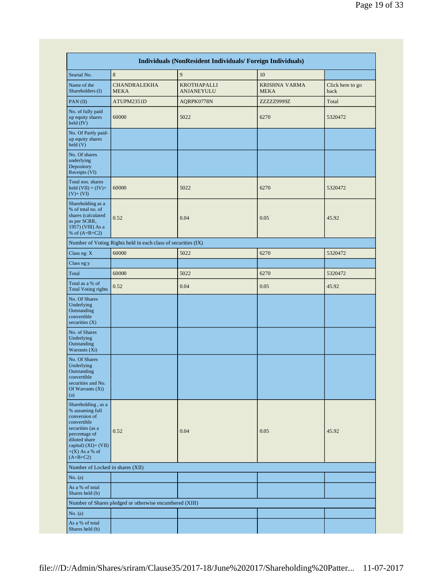|                                                                                                                                                                                          | Individuals (NonResident Individuals/ Foreign Individuals)    |                                         |                                     |                          |
|------------------------------------------------------------------------------------------------------------------------------------------------------------------------------------------|---------------------------------------------------------------|-----------------------------------------|-------------------------------------|--------------------------|
| Searial No.                                                                                                                                                                              | 8                                                             | 9                                       | 10                                  |                          |
| Name of the<br>Shareholders (I)                                                                                                                                                          | <b>CHANDRALEKHA</b><br><b>MEKA</b>                            | <b>KROTHAPALLI</b><br><b>ANJANEYULU</b> | <b>KRISHNA VARMA</b><br><b>MEKA</b> | Click here to go<br>back |
| PAN(II)                                                                                                                                                                                  | ATUPM2351D                                                    | AQRPK0778N                              | ZZZZZ9999Z                          | Total                    |
| No. of fully paid<br>up equity shares<br>held (IV)                                                                                                                                       | 60000                                                         | 5022                                    | 6270                                | 5320472                  |
| No. Of Partly paid-<br>up equity shares<br>held(V)                                                                                                                                       |                                                               |                                         |                                     |                          |
| No. Of shares<br>underlying<br>Depository<br>Receipts (VI)                                                                                                                               |                                                               |                                         |                                     |                          |
| Total nos. shares<br>held $(VII) = (IV) +$<br>$(V)$ + $(VI)$                                                                                                                             | 60000                                                         | 5022                                    | 6270                                | 5320472                  |
| Shareholding as a<br>% of total no. of<br>shares (calculated<br>as per SCRR,<br>1957) (VIII) As a<br>% of $(A+B+C2)$                                                                     | 0.52                                                          | 0.04                                    | 0.05                                | 45.92                    |
|                                                                                                                                                                                          | Number of Voting Rights held in each class of securities (IX) |                                         |                                     |                          |
| Class eg: X                                                                                                                                                                              | 60000                                                         | 5022                                    | 6270                                | 5320472                  |
| Class eg:y                                                                                                                                                                               |                                                               |                                         |                                     |                          |
| Total                                                                                                                                                                                    | 60000                                                         | 5022                                    | 6270                                | 5320472                  |
| Total as a % of<br><b>Total Voting rights</b>                                                                                                                                            | 0.52                                                          | 0.04                                    | 0.05                                | 45.92                    |
| No. Of Shares<br>Underlying<br>Outstanding<br>convertible<br>securities $(X)$                                                                                                            |                                                               |                                         |                                     |                          |
| No. of Shares<br>Underlying<br>Outstanding<br>Warrants (Xi)                                                                                                                              |                                                               |                                         |                                     |                          |
| No. Of Shares<br>Underlying<br>Outstanding<br>convertible<br>securities and No.<br>Of Warrants (Xi)<br>(a)                                                                               |                                                               |                                         |                                     |                          |
| Shareholding, as a<br>% assuming full<br>conversion of<br>convertible<br>securities (as a<br>percentage of<br>diluted share<br>capital) $(XI) = (VII)$<br>$+(X)$ As a % of<br>$(A+B+C2)$ | 0.52                                                          | 0.04                                    | 0.05                                | 45.92                    |
| Number of Locked in shares (XII)                                                                                                                                                         |                                                               |                                         |                                     |                          |
| No. (a)                                                                                                                                                                                  |                                                               |                                         |                                     |                          |
| As a % of total<br>Shares held (b)                                                                                                                                                       |                                                               |                                         |                                     |                          |
|                                                                                                                                                                                          | Number of Shares pledged or otherwise encumbered (XIII)       |                                         |                                     |                          |
| No. $(a)$                                                                                                                                                                                |                                                               |                                         |                                     |                          |
| As a % of total<br>Shares held (b)                                                                                                                                                       |                                                               |                                         |                                     |                          |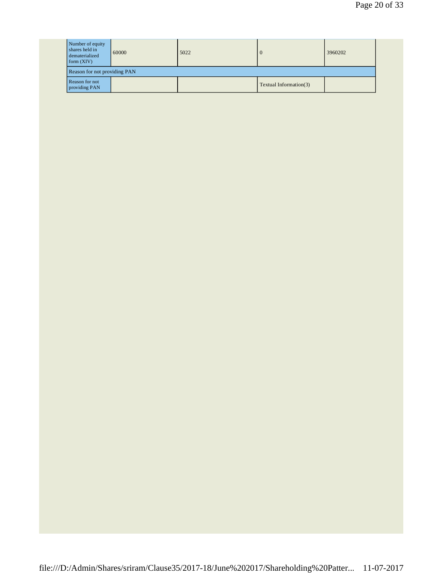| Number of equity<br>shares held in<br>dematerialized<br>form $(XIV)$ | 60000                        | 5022 | U                      | 3960202 |  |  |
|----------------------------------------------------------------------|------------------------------|------|------------------------|---------|--|--|
|                                                                      | Reason for not providing PAN |      |                        |         |  |  |
| Reason for not<br>providing PAN                                      |                              |      | Textual Information(3) |         |  |  |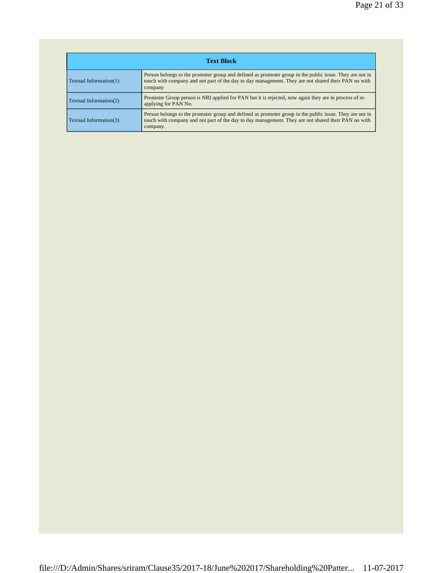| <b>Text Block</b>      |                                                                                                                                                                                                                            |  |  |
|------------------------|----------------------------------------------------------------------------------------------------------------------------------------------------------------------------------------------------------------------------|--|--|
| Textual Information(1) | Person belongs to the promoter group and defined as promoter group in the public issue. They are not in<br>touch with company and not part of the day to day management. They are not shared their PAN no with<br>company  |  |  |
| Textual Information(2) | Promoter Group person is NRI applied for PAN but it is rejected, now again they are in process of re-<br>applying for PAN No.                                                                                              |  |  |
| Textual Information(3) | Person belongs to the promoter group and defined as promoter group in the public issue. They are not in<br>touch with company and not part of the day to day management. They are not shared their PAN no with<br>company. |  |  |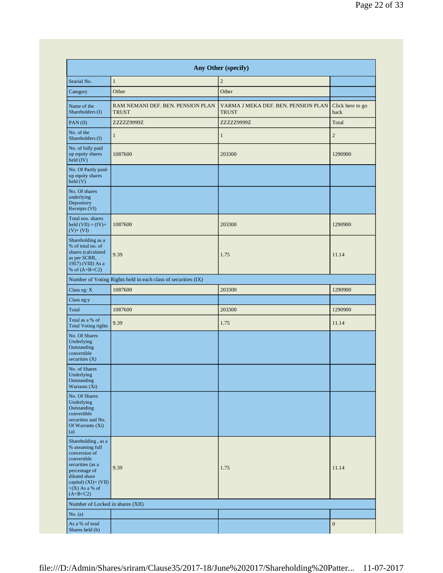| Any Other (specify)                                                                                                                                                                                                                     |                                                               |                                                     |                          |  |
|-----------------------------------------------------------------------------------------------------------------------------------------------------------------------------------------------------------------------------------------|---------------------------------------------------------------|-----------------------------------------------------|--------------------------|--|
| Searial No.                                                                                                                                                                                                                             | $\mathbf{1}$                                                  | $\overline{2}$                                      |                          |  |
| Category                                                                                                                                                                                                                                | Other                                                         | Other                                               |                          |  |
| Name of the<br>Shareholders (I)                                                                                                                                                                                                         | RAM NEMANI DEF. BEN. PENSION PLAN<br><b>TRUST</b>             | VARMA J MEKA DEF. BEN. PENSION PLAN<br><b>TRUST</b> | Click here to go<br>back |  |
| PAN(II)                                                                                                                                                                                                                                 | ZZZZZ9999Z                                                    | ZZZZZ9999Z                                          | Total                    |  |
| No. of the<br>Shareholders (I)                                                                                                                                                                                                          | $\mathbf{1}$                                                  | $\mathbf{1}$                                        | $\mathbf{2}$             |  |
| No. of fully paid<br>up equity shares<br>held (IV)                                                                                                                                                                                      | 1087600                                                       | 203300                                              | 1290900                  |  |
| No. Of Partly paid-<br>up equity shares<br>held(V)                                                                                                                                                                                      |                                                               |                                                     |                          |  |
| No. Of shares<br>underlying<br>Depository<br>Receipts (VI)                                                                                                                                                                              |                                                               |                                                     |                          |  |
| Total nos. shares<br>held $(VII) = (IV) +$<br>$(V)$ + $(VI)$                                                                                                                                                                            | 1087600                                                       | 203300                                              | 1290900                  |  |
| Shareholding as a<br>% of total no. of<br>shares (calculated<br>as per SCRR,<br>1957) (VIII) As a<br>% of $(A+B+C2)$                                                                                                                    | 9.39                                                          | 1.75                                                | 11.14                    |  |
|                                                                                                                                                                                                                                         | Number of Voting Rights held in each class of securities (IX) |                                                     |                          |  |
| Class eg: X                                                                                                                                                                                                                             | 1087600                                                       | 203300                                              | 1290900                  |  |
| Class eg:y                                                                                                                                                                                                                              |                                                               |                                                     |                          |  |
| Total                                                                                                                                                                                                                                   | 1087600                                                       | 203300                                              | 1290900                  |  |
| Total as a % of<br><b>Total Voting rights</b>                                                                                                                                                                                           | 9.39                                                          | 1.75                                                | 11.14                    |  |
| No. Of Shares<br>Underlying<br>Outstanding                                                                                                                                                                                              |                                                               |                                                     |                          |  |
| convertible<br>securities $(X)$                                                                                                                                                                                                         |                                                               |                                                     |                          |  |
| No. of Shares<br>Underlying<br>Outstanding<br>Warrants (Xi)                                                                                                                                                                             |                                                               |                                                     |                          |  |
| No. Of Shares<br>Underlying<br>Outstanding<br>convertible<br>securities and No.<br>Of Warrants (Xi)<br>(a)                                                                                                                              |                                                               |                                                     |                          |  |
|                                                                                                                                                                                                                                         | 9.39                                                          | 1.75                                                | 11.14                    |  |
|                                                                                                                                                                                                                                         |                                                               |                                                     |                          |  |
| Shareholding, as a<br>% assuming full<br>conversion of<br>convertible<br>securities (as a<br>percentage of<br>diluted share<br>capital) $(XI) = (VII)$<br>$+(X)$ As a % of<br>$(A+B+C2)$<br>Number of Locked in shares (XII)<br>No. (a) |                                                               |                                                     |                          |  |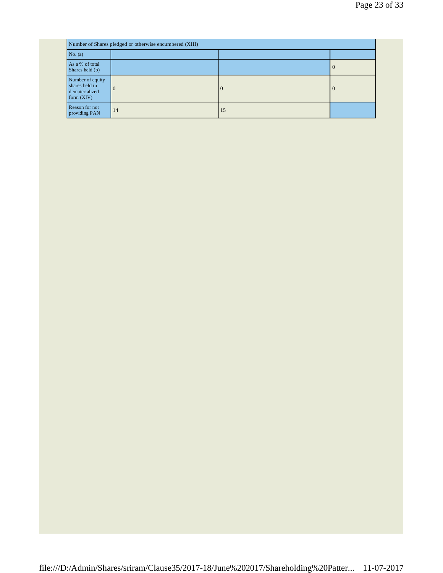|                                                                      | Number of Shares pledged or otherwise encumbered (XIII) |          |                |  |  |
|----------------------------------------------------------------------|---------------------------------------------------------|----------|----------------|--|--|
| No. (a)                                                              |                                                         |          |                |  |  |
| As a % of total<br>Shares held (b)                                   |                                                         |          | $\theta$       |  |  |
| Number of equity<br>shares held in<br>dematerialized<br>form $(XIV)$ | $\overline{0}$                                          | $\Omega$ | $\overline{0}$ |  |  |
| Reason for not<br>providing PAN                                      | 14                                                      | 15       |                |  |  |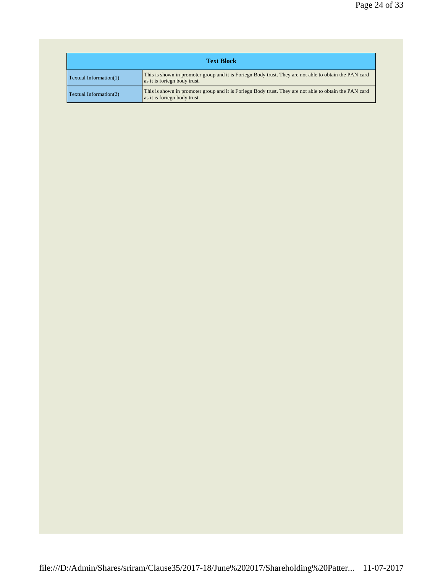| <b>Text Block</b>             |                                                                                                                                        |  |  |
|-------------------------------|----------------------------------------------------------------------------------------------------------------------------------------|--|--|
| <b>Textual Information(1)</b> | This is shown in promoter group and it is Foriegn Body trust. They are not able to obtain the PAN card<br>as it is foriegn body trust. |  |  |
| Textual Information(2)        | This is shown in promoter group and it is Foriegn Body trust. They are not able to obtain the PAN card<br>as it is foriegn body trust. |  |  |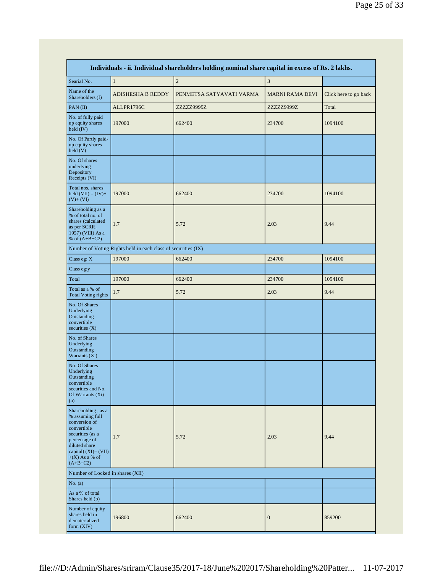| Individuals - ii. Individual shareholders holding nominal share capital in excess of Rs. 2 lakhs.                                                                                        |                                                               |                          |                        |                       |
|------------------------------------------------------------------------------------------------------------------------------------------------------------------------------------------|---------------------------------------------------------------|--------------------------|------------------------|-----------------------|
| Searial No.                                                                                                                                                                              | $\mathbf{1}$                                                  | $\overline{c}$           | 3                      |                       |
| Name of the<br>Shareholders (I)                                                                                                                                                          | <b>ADISHESHA B REDDY</b>                                      | PENMETSA SATYAVATI VARMA | <b>MARNI RAMA DEVI</b> | Click here to go back |
| PAN(II)                                                                                                                                                                                  | ALLPR1796C                                                    | ZZZZZ9999Z               | ZZZZZ9999Z             | Total                 |
| No. of fully paid<br>up equity shares<br>held (IV)                                                                                                                                       | 197000                                                        | 662400                   | 234700                 | 1094100               |
| No. Of Partly paid-<br>up equity shares<br>held (V)                                                                                                                                      |                                                               |                          |                        |                       |
| No. Of shares<br>underlying<br>Depository<br>Receipts (VI)                                                                                                                               |                                                               |                          |                        |                       |
| Total nos. shares<br>held $(VII) = (IV) +$<br>$(V)+ (VI)$                                                                                                                                | 197000                                                        | 662400                   | 234700                 | 1094100               |
| Shareholding as a<br>% of total no. of<br>shares (calculated<br>as per SCRR,<br>1957) (VIII) As a<br>% of $(A+B+C2)$                                                                     | 1.7                                                           | 5.72                     | 2.03                   | 9.44                  |
|                                                                                                                                                                                          | Number of Voting Rights held in each class of securities (IX) |                          |                        |                       |
| Class eg: X                                                                                                                                                                              | 197000                                                        | 662400                   | 234700                 | 1094100               |
| Class eg:y                                                                                                                                                                               |                                                               |                          |                        |                       |
| Total                                                                                                                                                                                    | 197000                                                        | 662400                   | 234700                 | 1094100               |
| Total as a % of<br><b>Total Voting rights</b>                                                                                                                                            | 1.7                                                           | 5.72                     | 2.03                   | 9.44                  |
| No. Of Shares<br>Underlying<br>Outstanding<br>convertible<br>securities $(X)$                                                                                                            |                                                               |                          |                        |                       |
| No. of Shares<br>Underlying<br>Outstanding<br>Warrants (Xi)                                                                                                                              |                                                               |                          |                        |                       |
| No. Of Shares<br>Underlying<br>Outstanding<br>convertible<br>securities and No.<br>Of Warrants (Xi)<br>(a)                                                                               |                                                               |                          |                        |                       |
| Shareholding, as a<br>% assuming full<br>conversion of<br>convertible<br>securities (as a<br>percentage of<br>diluted share<br>capital) $(XI) = (VII)$<br>$+(X)$ As a % of<br>$(A+B+C2)$ | 1.7                                                           | 5.72                     | 2.03                   | 9.44                  |
| Number of Locked in shares (XII)                                                                                                                                                         |                                                               |                          |                        |                       |
| No. (a)                                                                                                                                                                                  |                                                               |                          |                        |                       |
| As a % of total<br>Shares held (b)                                                                                                                                                       |                                                               |                          |                        |                       |
| Number of equity<br>shares held in<br>dematerialized<br>form $(XIV)$                                                                                                                     | 196800                                                        | 662400                   | $\boldsymbol{0}$       | 859200                |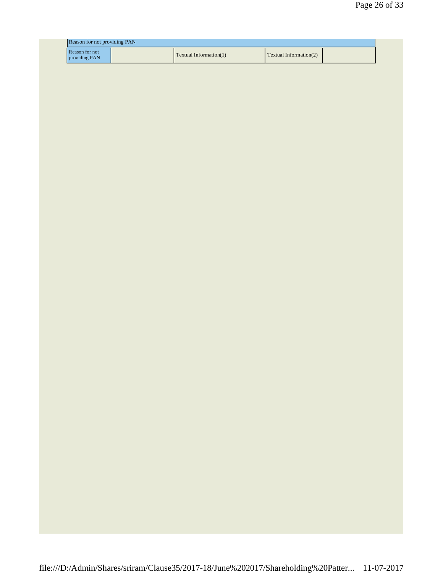| <b>Reason for not providing PAN</b> |  |                        |                               |  |
|-------------------------------------|--|------------------------|-------------------------------|--|
| Reason for not<br>providing PAN     |  | Textual Information(1) | <b>Textual Information(2)</b> |  |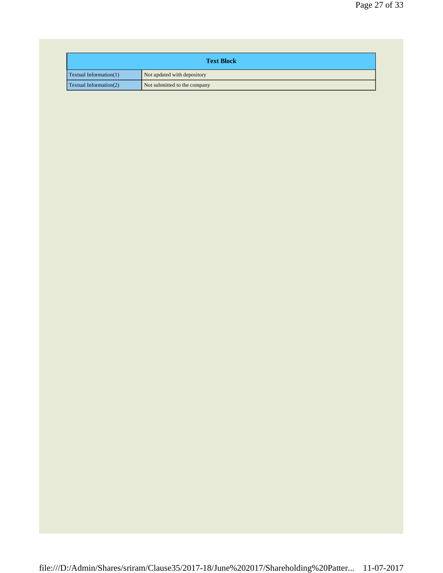| <b>Text Block</b>      |                              |  |
|------------------------|------------------------------|--|
| Textual Information(1) | Not updated with depository  |  |
| Textual Information(2) | Not submitted to the company |  |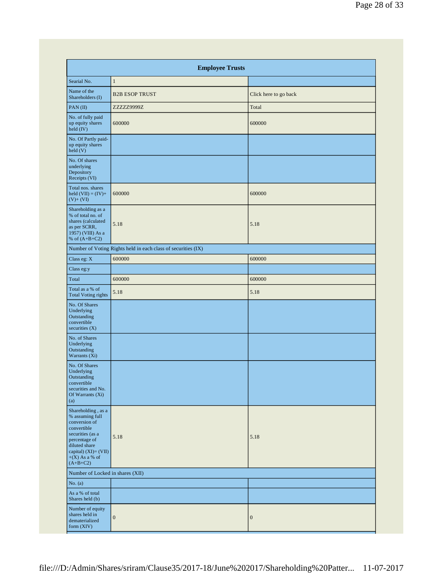| <b>Employee Trusts</b>                                                                                                                                                                    |                                                               |                       |  |
|-------------------------------------------------------------------------------------------------------------------------------------------------------------------------------------------|---------------------------------------------------------------|-----------------------|--|
| Searial No.                                                                                                                                                                               | $\mathbf{1}$                                                  |                       |  |
| Name of the<br>Shareholders (I)                                                                                                                                                           | <b>B2B ESOP TRUST</b>                                         | Click here to go back |  |
| PAN(II)                                                                                                                                                                                   | ZZZZZ9999Z                                                    | Total                 |  |
| No. of fully paid<br>up equity shares<br>held (IV)                                                                                                                                        | 600000                                                        | 600000                |  |
| No. Of Partly paid-<br>up equity shares<br>held(V)                                                                                                                                        |                                                               |                       |  |
| No. Of shares<br>underlying<br>Depository<br>Receipts (VI)                                                                                                                                |                                                               |                       |  |
| Total nos. shares<br>held $(VII) = (IV) +$<br>$(V)+ (VI)$                                                                                                                                 | 600000                                                        | 600000                |  |
| Shareholding as a<br>% of total no. of<br>shares (calculated<br>as per SCRR,<br>1957) (VIII) As a<br>% of $(A+B+C2)$                                                                      | 5.18                                                          | 5.18                  |  |
|                                                                                                                                                                                           | Number of Voting Rights held in each class of securities (IX) |                       |  |
| Class eg: X                                                                                                                                                                               | 600000                                                        | 600000                |  |
| Class eg:y                                                                                                                                                                                |                                                               |                       |  |
| Total                                                                                                                                                                                     | 600000                                                        | 600000                |  |
| Total as a % of<br><b>Total Voting rights</b>                                                                                                                                             | 5.18                                                          | 5.18                  |  |
| No. Of Shares<br>Underlying<br>Outstanding<br>convertible<br>securities $(X)$                                                                                                             |                                                               |                       |  |
| No. of Shares<br>Underlying<br>Outstanding<br>Warrants (Xi)                                                                                                                               |                                                               |                       |  |
| No. Of Shares<br>Underlying<br>Outstanding<br>convertible<br>securities and No.<br>Of Warrants (Xi)<br>(a)                                                                                |                                                               |                       |  |
| Shareholding , as a<br>% assuming full<br>conversion of<br>convertible<br>securities (as a<br>percentage of<br>diluted share<br>capital) $(XI) = (VII)$<br>$+(X)$ As a % of<br>$(A+B+C2)$ | 5.18                                                          | 5.18                  |  |
| Number of Locked in shares (XII)                                                                                                                                                          |                                                               |                       |  |
| No. $(a)$                                                                                                                                                                                 |                                                               |                       |  |
| As a % of total<br>Shares held (b)                                                                                                                                                        |                                                               |                       |  |
| Number of equity<br>shares held in<br>dematerialized<br>form (XIV)                                                                                                                        | $\boldsymbol{0}$                                              | $\boldsymbol{0}$      |  |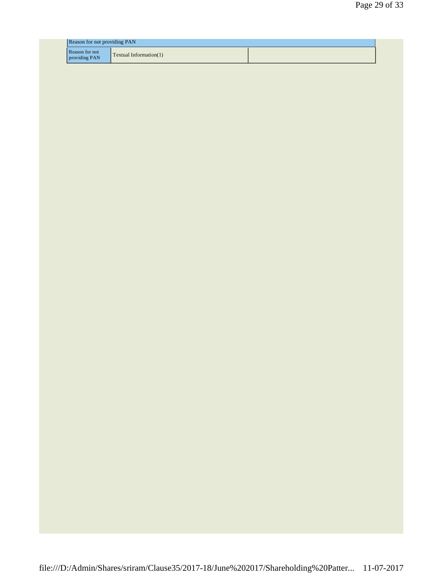| <b>Reason for not providing PAN</b> |                        |  |
|-------------------------------------|------------------------|--|
| Reason for not<br>providing PAN     | Textual Information(1) |  |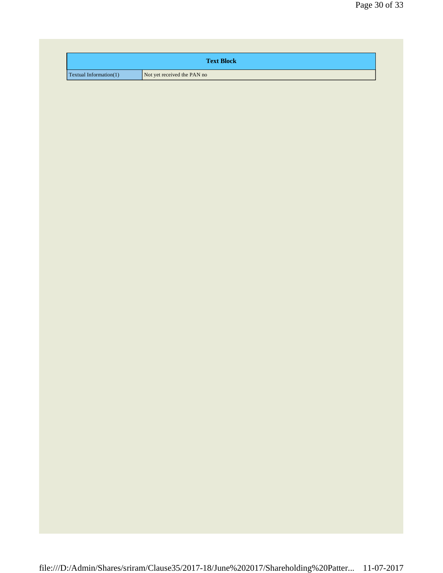| <b>Text Block</b>               |                             |  |
|---------------------------------|-----------------------------|--|
| $\Gamma$ Textual Information(1) | Not yet received the PAN no |  |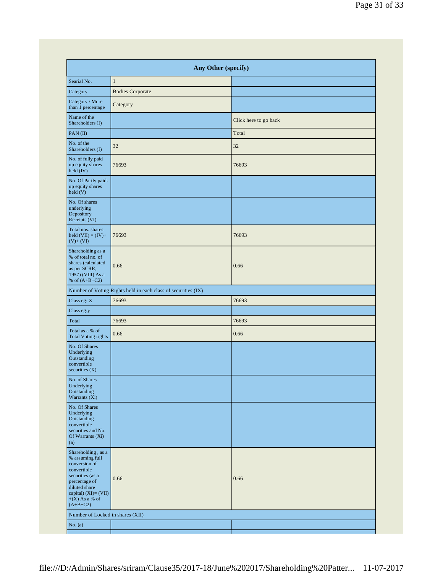|                                                                                                                                                                                          |                                                               | Any Other (specify)   |  |  |  |
|------------------------------------------------------------------------------------------------------------------------------------------------------------------------------------------|---------------------------------------------------------------|-----------------------|--|--|--|
| Searial No.                                                                                                                                                                              | $\mathbf{1}$                                                  |                       |  |  |  |
| Category                                                                                                                                                                                 | <b>Bodies Corporate</b>                                       |                       |  |  |  |
| Category / More<br>than 1 percentage                                                                                                                                                     | Category                                                      |                       |  |  |  |
| Name of the<br>Shareholders (I)                                                                                                                                                          |                                                               | Click here to go back |  |  |  |
| PAN(II)                                                                                                                                                                                  |                                                               | Total                 |  |  |  |
| No. of the<br>Shareholders (I)                                                                                                                                                           | 32                                                            | 32                    |  |  |  |
| No. of fully paid<br>up equity shares<br>held (IV)                                                                                                                                       | 76693                                                         | 76693                 |  |  |  |
| No. Of Partly paid-<br>up equity shares<br>held(V)                                                                                                                                       |                                                               |                       |  |  |  |
| No. Of shares<br>underlying<br>Depository<br>Receipts (VI)                                                                                                                               |                                                               |                       |  |  |  |
| Total nos. shares<br>held $(VII) = (IV) +$<br>$(V)$ + $(VI)$                                                                                                                             | 76693                                                         | 76693                 |  |  |  |
| Shareholding as a<br>% of total no. of<br>shares (calculated<br>as per SCRR,<br>1957) (VIII) As a<br>% of $(A+B+C2)$                                                                     | 0.66                                                          | 0.66                  |  |  |  |
|                                                                                                                                                                                          | Number of Voting Rights held in each class of securities (IX) |                       |  |  |  |
| Class eg: X                                                                                                                                                                              | 76693                                                         | 76693                 |  |  |  |
| Class eg:y                                                                                                                                                                               |                                                               |                       |  |  |  |
| Total                                                                                                                                                                                    | 76693                                                         | 76693                 |  |  |  |
| Total as a % of<br><b>Total Voting rights</b>                                                                                                                                            | 0.66                                                          | 0.66                  |  |  |  |
| No. Of Shares<br>Underlying<br>Outstanding<br>convertible<br>securities $(X)$                                                                                                            |                                                               |                       |  |  |  |
| No. of Shares<br>Underlying<br>Outstanding<br>Warrants (Xi)                                                                                                                              |                                                               |                       |  |  |  |
| No. Of Shares<br>Underlying<br>Outstanding<br>convertible<br>securities and No.<br>Of Warrants (Xi)<br>(a)                                                                               |                                                               |                       |  |  |  |
| Shareholding, as a<br>% assuming full<br>conversion of<br>convertible<br>securities (as a<br>percentage of<br>diluted share<br>capital) $(XI) = (VII)$<br>$+(X)$ As a % of<br>$(A+B+C2)$ | 0.66                                                          | 0.66                  |  |  |  |
| Number of Locked in shares (XII)                                                                                                                                                         |                                                               |                       |  |  |  |
| No. $(a)$                                                                                                                                                                                |                                                               |                       |  |  |  |
|                                                                                                                                                                                          |                                                               |                       |  |  |  |